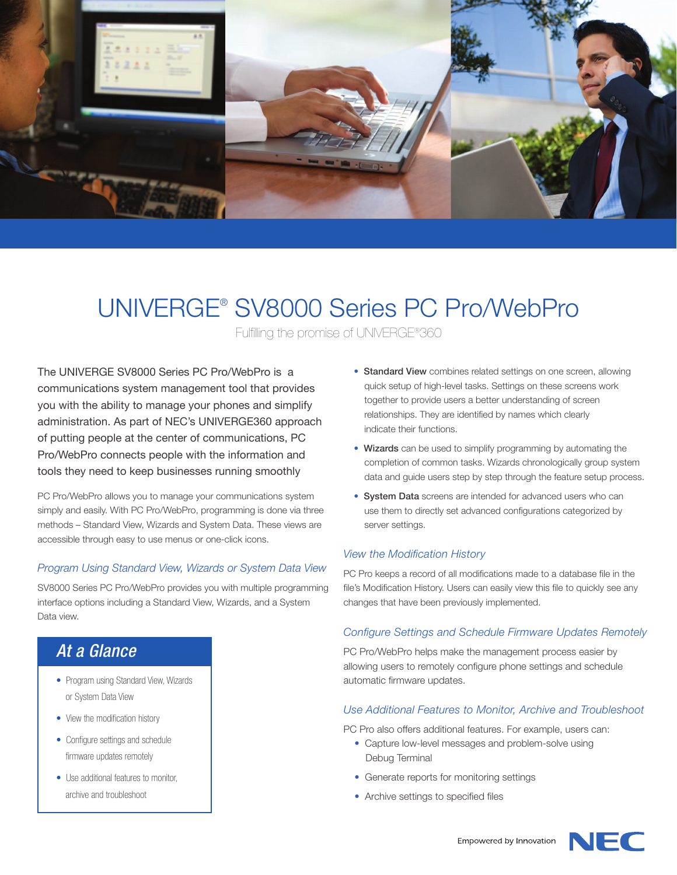

# UNIVERGE® SV8000 Series PC Pro/WebPro

Fulfilling the promise of UNIVERGE®360

The UNIVERGE SV8000 Series PC Pro/WebPro is a communications system management tool that provides you with the ability to manage your phones and simplify administration. As part of NEC's UNIVERGE360 approach of putting people at the center of communications, PC Pro/WebPro connects people with the information and tools they need to keep businesses running smoothly

PC Pro/WebPro allows you to manage your communications system simply and easily. With PC Pro/WebPro, programming is done via three methods – Standard View, Wizards and System Data. These views are accessible through easy to use menus or one-click icons.

#### *Program Using Standard View, Wizards or System Data View*

SV8000 Series PC Pro/WebPro provides you with multiple programming interface options including a Standard View, Wizards, and a System Data view.

# *At a Glance*

- Program using Standard View, Wizards or System Data View
- View the modification history
- Configure settings and schedule firmware updates remotely
- Use additional features to monitor, archive and troubleshoot
- Standard View combines related settings on one screen, allowing quick setup of high-level tasks. Settings on these screens work together to provide users a better understanding of screen relationships. They are identified by names which clearly indicate their functions.
- Wizards can be used to simplify programming by automating the completion of common tasks. Wizards chronologically group system data and guide users step by step through the feature setup process.
- System Data screens are intended for advanced users who can use them to directly set advanced configurations categorized by server settings.

#### *View the Modification History*

PC Pro keeps a record of all modifications made to a database file in the file's Modification History. Users can easily view this file to quickly see any changes that have been previously implemented.

#### *Configure Settings and Schedule Firmware Updates Remotely*

PC Pro/WebPro helps make the management process easier by allowing users to remotely configure phone settings and schedule automatic firmware updates.

#### *Use Additional Features to Monitor, Archive and Troubleshoot*

PC Pro also offers additional features. For example, users can:

- Capture low-level messages and problem-solve using Debug Terminal
- Generate reports for monitoring settings
- Archive settings to specified files